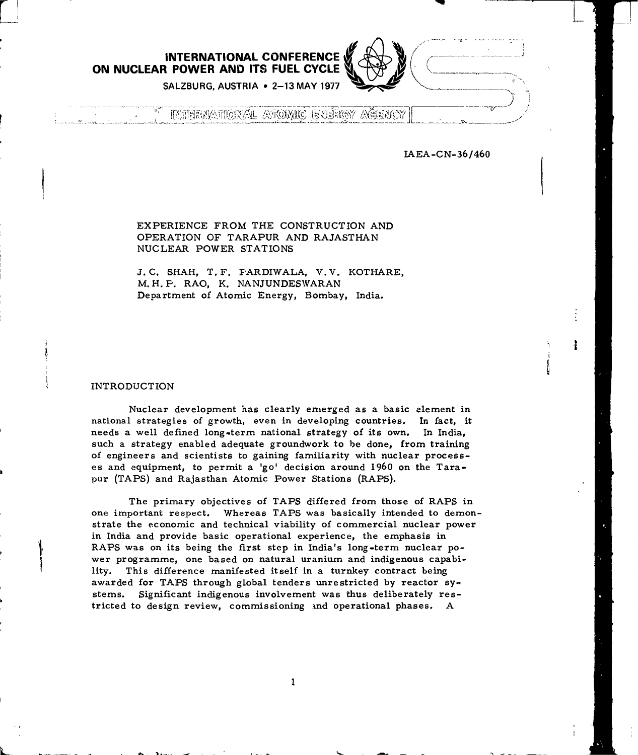**INTERNATIONAL CONFERENCE ON NUCLEAR POWER AND ITS FUEL CYCLE**

**SALZBURG, AUSTRIA • 2-13 MAY 1977**

INNIERMATIONAL ATROMIC ENÉRGY AĞENCY

IAEA-CN-36/460

ł

EXPERIENCE FROM THE CONSTRUCTION AND OPERATION OF TARAPUR AND RAJASTHAN NUCLEAR POWER STATIONS

J. C. SHAH, T.F. PARDIWALA, V.V. KOTHARE, M. H. P. RAO, K. NANJUNDESWARAN Department of Atomic Energy, Bombay, India.

INTRODUCTION

Nuclear development has clearly emerged as a basic element in national strategies of growth, even in developing countries. In fact, it needs a well defined long-term national strategy of its own. In India, such a strategy enabled adequate groundwork to be done, from training of engineers and scientists to gaining familiarity with nuclear processes and equipment, to permit a 'go' decision around I960 on the Tarapur (TAPS) and Rajasthan Atomic Power Stations (RAPS).

The primary objectives of TAPS differed from those of RAPS in one important respect. Whereas TAPS was basically intended to demonstrate the economic and technical viability of commercial nuclear power in India and provide basic operational experience, the emphasis in RAPS was on its being the first step in India's long-term nuclear power programme, one based on natural uranium and indigenous capability. This difference manifested itself in a turnkey contract being awarded for TAPS through global tenders unrestricted by reactor systems. Significant indigenous involvement was thus deliberately restricted to design review, commissioning ind operational phases. A

 $\mathbf{1}$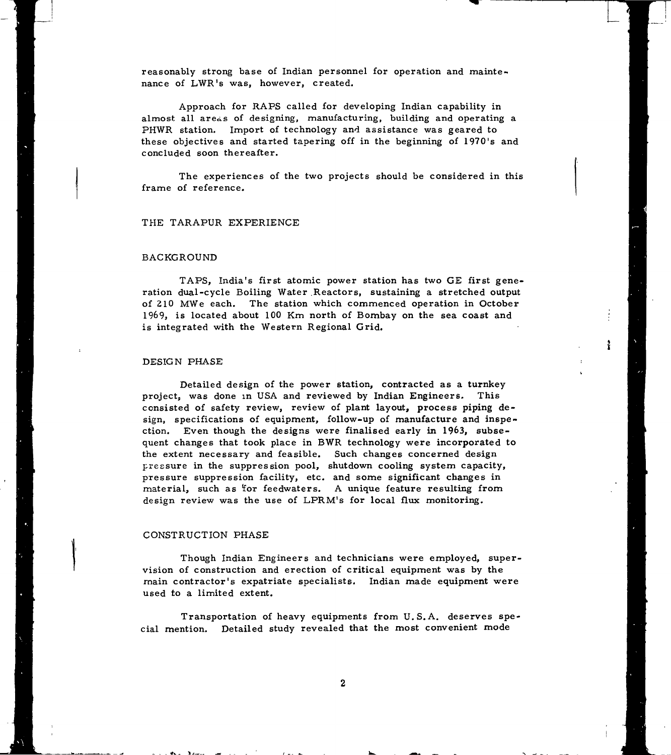reasonably strong base of Indian personnel for operation and maintenance of LWR's was, however, created.

Approach for RAPS called for developing Indian capability in almost all areas of designing, manufacturing, building and operating a PHWR station. Import of technology and assistance was geared to these objectives and started tapering off in the beginning of 1970's and concluded soon thereafter.

The experiences of the two projects should be considered in this frame of reference.

## THE TARAPUR EXPERIENCE

## BACKGROUND

TAPS, India's first atomic power station has two GE first generation dual-cycle Boiling Water Reactors, sustaining a stretched output of 210 MWe each. The station which commenced operation in October 1969, is located about 100 Km north of Bombay on the sea coast and is integrated with the Western Regional Grid.

ł.

## DESIGN PHASE

Detailed design of the power station, contracted as a turnkey project, was done in USA and reviewed by Indian Engineers. This consisted of safety review, review of plant layout, process piping design, specifications of equipment, follow-up of manufacture and inspection. Even though the designs were finalised early in 1963, subsequent changes that took place in BWR technology were incorporated to the extent necessary and feasible. Such changes concerned design pressure in the suppression pool, shutdown cooling system capacity, pressure suppression facility, etc. and some significant changes in material, such as tor feedwaters. A unique feature resulting from design review was the use of LPRM's for local flux monitoring.

#### CONSTRUCTION PHASE

Though Indian Engineers and technicians were employed, supervision of construction and erection of critical equipment was by the main contractor's expatriate specialists. Indian made equipment were used to a limited extent.

Transportation of heavy equipments from U.S.A. deserves special mention. Detailed study revealed that the most convenient mode

 $\overline{c}$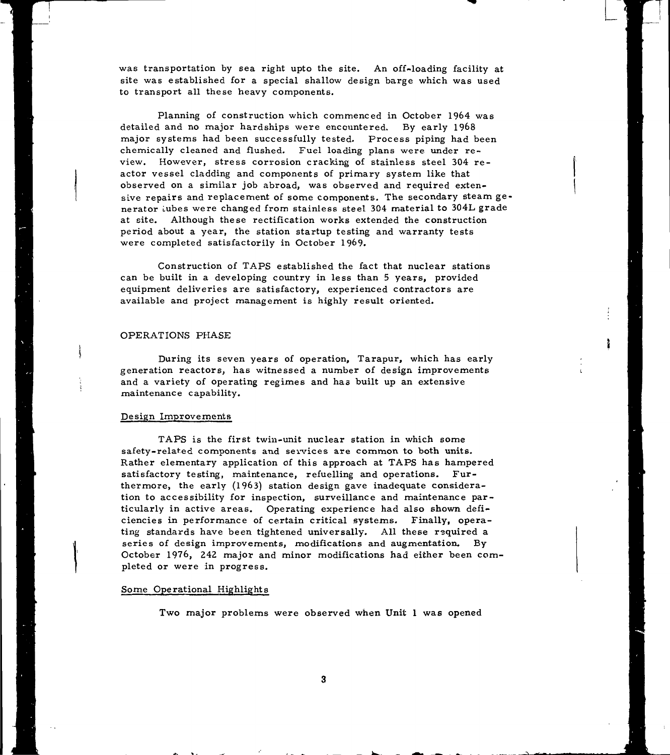was transportation by sea right upto the site. An off-loading facility at site was established for a special shallow design barge which was used to transport all these heavy components.

**L**

Planning of construction which commenced in October 1964 was detailed and no major hardships were encountered. By early 1968 major systems had been successfully tested- Process piping had been chemically cleaned and flushed. Fuel loading plans were under review. However, stress corrosion cracking of stainless steel 304 reactor vessel cladding and components of primary system like that observed on a similar job abroad, was observed and required extensive repairs and replacement of some components. The secondary steam generator Lubes were changed from stainless steel 304 material to 304L grade at site. Although these rectification works extended the construction period about a year, the station startup testing and warranty tests were completed satisfactorily in October 1969.

Construction of TAPS established the fact that nuclear stations can be built in a developing country in less than 5 years, provided equipment deliveries are satisfactory, experienced contractors are available and project management is highly result oriented.

## OPERATIONS PHASE

During its seven years of operation, Tarapur, which has early generation reactors, has witnessed a number of design improvements and a variety of operating regimes and has built up an extensive maintenance capability.

## Design Improvements

TAPS is the first twin-unit nuclear station in which some safety-related components and services are common to both units. Rather elementary application of this approach at TAPS has hampered satisfactory testing, maintenance, refuelling and operations. Furthermore, the early (1963) station design gave inadequate consideration to accessibility for inspection, surveillance and maintenance particularly in active areas. Operating experience had also shown deficiencies in performance of certain critical systems. Finally, operating standards have been tightened universally. All these required a series of design improvements, modifications and augmentation. By October 1976, 242 major and minor modifications had either been completed or were in progress.

## Some Operational Highlights

Two major problems were observed when Unit 1 was opened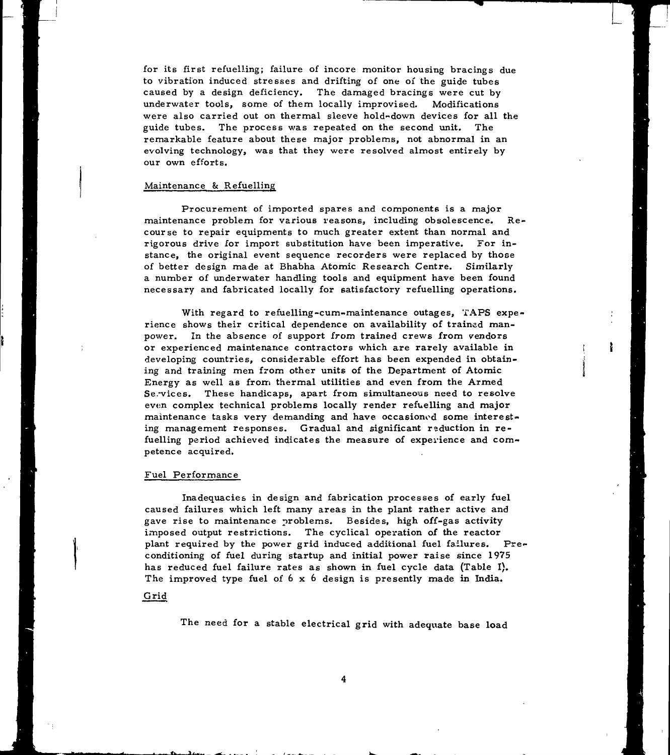for its first refuelling; failure of incore monitor housing bracings due to vibration induced stresses and drifting of one of the guide tubes caused by a design deficiency. The damaged bracings were cut by underwater tools, some of them locally improvised. Modifications were also carried out on thermal sleeve hold-down devices for all the guide tubes. The process was repeated on the second unit. The remarkable feature about these major problems, not abnormal in an evolving technology, was that they were resolved almost entirely by our own efforts.

## Maintenance & Refuelling

Procurement of imported spares and components is a major maintenance problem for various reasons, including obsolescence. Recourse to repair equipments to much greater extent than normal and rigorous drive for import substitution have been imperative. For instance, the original event sequence recorders were replaced by those of better design made at Bhabha Atomic Research Centre. Similarly a number of underwater handling tools and equipment have been found necessary and fabricated locally for satisfactory refuelling operations.

With regard to refuelling-cum-maintenance outages, TAPS experience shows their critical dependence on availability of trained manpower. In the absence of support *from* trained crews from vendors or experienced maintenance contractors which are rarely available in developing countries, considerable effort has been expended in obtaining and training men from other units of the Department of Atomic Energy as well as from thermal utilities and even from the Armed Se. vices. These handicaps, apart from simultaneous need to resolve even complex technical problems locally render refuelling and major maintenance tasks very demanding and have occasioned some interesting management responses. Gradual and significant reduction in refuelling period achieved indicates the measure of experience and competence acquired.

#### Fuel Performance

Inadequacies in design and fabrication processes of early fuel caused failures which left many areas in the plant rather active and gave rise to maintenance problems. Besides, high off-gas activity imposed output restrictions. The cyclical operation of the reactor plant required by the power grid induced additional fuel failures. Preconditioning of fuel during startup and initial power raise since 1975 has reduced fuel failure rates as shown in fuel cycle data (Table I). The improved type fuel of 6 x 6 design is presently made in India.

#### Grid

The need for a stable electrical grid with adequate base load

4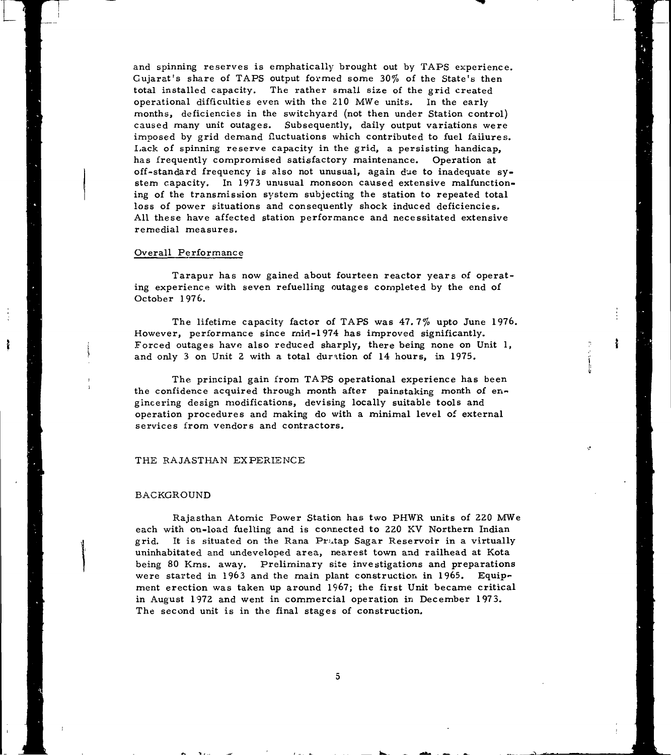and spinning reserves is emphatically brought out by TAPS experience. Gujarat's share of TAPS output formed some 30% of the State's then total installed capacity. The rather small size of the grid created operational difficulties even with the 210 MWe units. In the early months, deficiencies in the switchyard (not then under Station control) caused many unit outages. Subsequently, daily output variations were imposed by grid demand fluctuations which contributed to fuel failures. Lack of spinning reserve capacity in the grid, a persisting handicap, has frequently compromised satisfactory maintenance. Operation at off-standard frequency is also not unusual, again due to inadequate system capacity. In 1973 unusual monsoon caused extensive malfunctioning of the transmission system subjecting the station to repeated total loss of power situations and consequently shock induced deficiencies. All these have affected station performance and necessitated extensive remedial measures.

## Overall Performance

Tarapur has now gained about fourteen reactor years of operating experience with seven refuelling outages completed by the end of October 1976.

The lifetime capacity factor of TAPS was 47.7% upto June 1976. However, performance since rnid-1974 has improved significantly. Forced outages have also reduced sharply, there being none on Unit 1, and only 3 on Unit 2 with a total duration of 14 hours, in 1975.

ł

The principal gain from TAPS operational experience has been the confidence acquired through month after painstaking month of engineering design modifications, devising locally suitable tools and operation procedures and making do with a minimal level of external services from vendors and contractors.

## THE RAJASTHAN EXPERIENCE

#### BACKGROUND

Rajasthan Atomic Power Station has two PHWR units of 220 MWe each with on-load fuelling and is connected to 220 KV Northern Indian grid. It is situated on the Rana Pratap Sagar Reservoir in a virtually uninhabitated and undeveloped area, nearest town and railhead at Kota being 80 Kms. away. Preliminary site investigations and preparations were started in 1963 and the main plant construction in 1965. Equipment erection was taken up around 1967; the first Unit became critical in August 1972 and went in commercial operation in December 1973. The second unit is in the final stages of construction.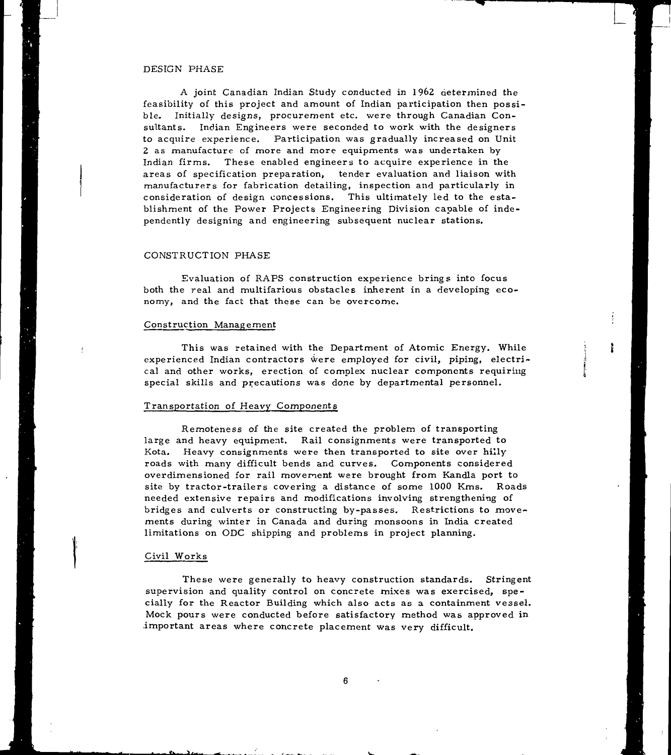### DESIGN PHASE

A joint Canadian Indian Study conducted in 1962 determined the feasibility of this project and amount of Indian participation then possible. Initially designs, procurement etc. were through Canadian Consultants. Indian Engineers were seconded to work with the designers to acquire experience. Participation was gradually increased on Unit 2 as manufacture of more and more equipments was undertaken by Indian firms. These enabled engineers to acquire experience in the areas of specification preparation, tender evaluation and liaison with manufacturers for fabrication detailing, inspection and particularly in consideration of design concessions. This ultimately led to the establishment of the Power Projects Engineering Division capable of independently designing and engineering subsequent nuclear stations.

## CONSTRUCTION PHASE

Evaluation of RAPS construction experience brings into focus both the real and multifarious obstacles inherent in a developing economy, and the fact that these can be overcome.

#### Construction Management

This was retained with the Department of Atomic Energy. While experienced Indian contractors were employed for civil, piping, electrical and other works, erection of complex nuclear components requiring special skills and precautions was done by departmental personnel.

ł

## Transportation of Heavy Components

Remoteness of the site created the problem of transporting large and heavy equipment. Rail consignments were transported to Kota. Heavy consignments were then transported to site over hilly roads with many difficult bends and curves. Components considered overdimensioned for rail movement were brought from Kandla port to site by tractor-trailers covering a distance of some 1000 Kms. Roads needed extensive repairs and modifications involving strengthening of bridges and culverts or constructing by-passes. Restrictions to movements during winter in Canada and during monsoons in India created limitations on ODC shipping and problems in project planning.

#### Civil Works

These were generally to heavy construction standards. Stringent supervision and quality control on concrete mixes was exercised, specially for the Reactor Building which also acts as a containment vessel. Mock pours were conducted before satisfactory method was approved in important areas where concrete placement was very difficult.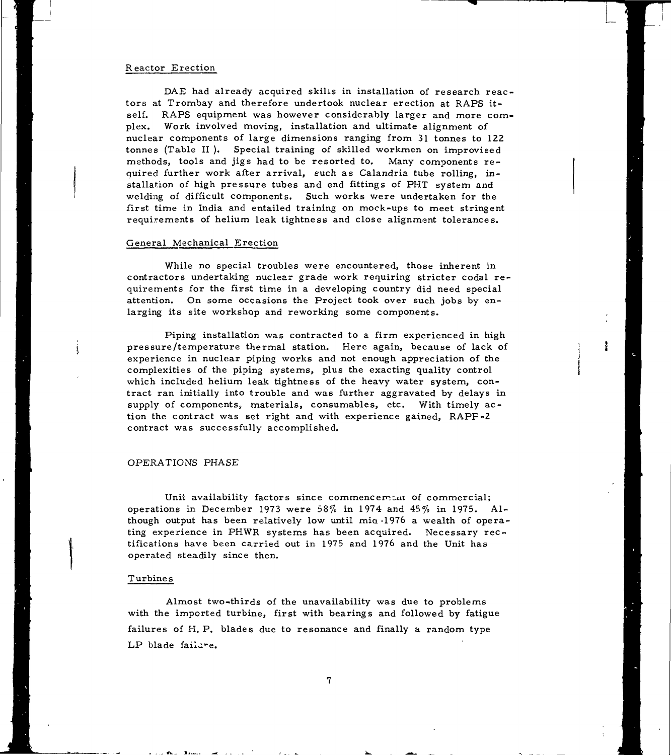## Reactor Erection

DAE had already acquired skills in installation of research reactors at Trombay and therefore undertook nuclear erection at RAPS itself. RAPS equipment was however considerably larger and more complex. Work involved moving, installation and ultimate alignment of nuclear components of large dimensions ranging from 31 tonnes to 122 tonnes (Table II ). Special training of skilled workmen on improvised methods, tools and jigs had to be resorted to. Many components required further work after arrival, such as Calandria tube rolling, installation of high pressure tubes and end fittings of PHT system and welding of difficult components. Such works were undertaken for the first time in India and entailed training on mock-ups to meet stringent requirements of helium leak tightness and close alignment tolerances.

## General Mechanical Erection

While no special troubles were encountered, those inherent in contractors undertaking nuclear grade work requiring stricter codai requirements for the first time in a developing country did need special attention. On some occasions the Project took over such jobs by enlarging its site workshop and reworking some components.

Piping installation was contracted to a firm experienced in high pressure/temperature thermal station. Here again, because of lack of experience in nuclear piping works and not enough appreciation of the complexities of the piping systems, plus the exacting quality control which included helium leak tightness of the heavy water system, contract ran initially into trouble and was further aggravated by delays in supply of components, materials, consumables, etc. With timely action the contract was set right and with experience gained, RAPF-2 contract was successfully accomplished.

ł

## OPERATIONS PHASE

Unit availability factors since commencement of commercial; operations in December 1973 were 58% in 1974 and 45% in 1975. Although output has been relatively low until mia -1976 a wealth of operating experience in PHWR systems has been acquired. Necessary rectifications have been carried out in 1975 and 1976 and the Unit has operated steadily since then.

#### Turbines

Almost two-thirds of the unavailability was due to problems with the imported turbine, first with bearings and followed by fatigue failures of H. P. blades due to resonance and finally a random type LP blade failure.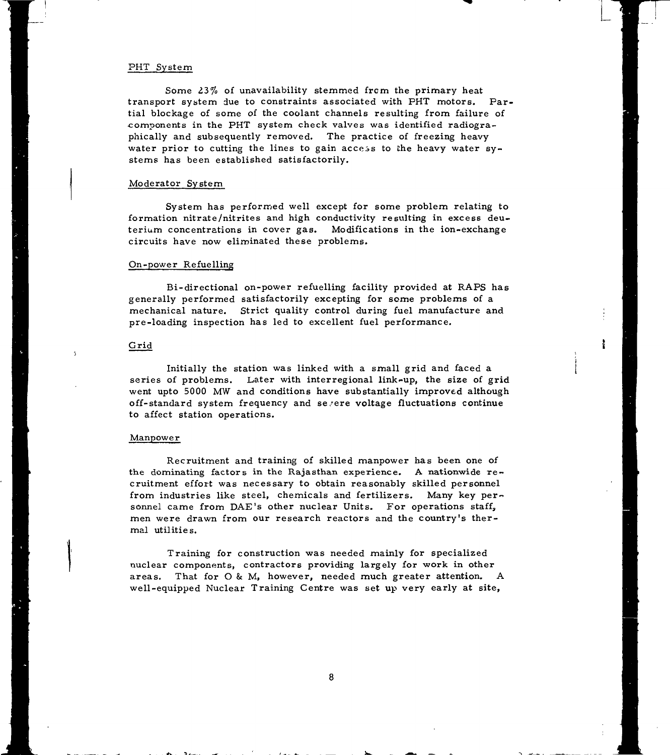## PHT System

Some 23% of unavailability stemmed from the primary heat transport system due to constraints associated with PHT motors. Partial blockage of some of the coolant channels resulting from failure of components in the PHT system check valves was identified radiographically and subsequently removed. The practice of freezing heavy water prior to cutting the lines to gain access to the heavy water systems has been established satisfactorily.

**r**

ł

## Moderator System

System has performed well except for some problem relating to formation nitrate/nitrites and high conductivity resulting in excess deuterium concentrations in cover gas. Modifications in the ion-exchange circuits have now eliminated these problems.

## On-power Refuelling

Bi-directional on-power refuelling facility provided at RAPS has generally performed satisfactorily excepting for some problems of a mechanical nature. Strict quality control during fuel manufacture and pre-loading inspection has led to excellent fuel performance.

## Grid

Initially the station was linked with a small grid and faced a series of problems. Later with interregional link-up, the size of grid went upto 5000 MW and conditions have substantially improved although off-standard system frequency and se.'ere voltage fluctuations continue to affect station operations.

#### Manpower

Recruitment and training of skilled manpower has been one of the dominating factors in the Rajasthan experience. A nationwide recruitment effort was necessary to obtain reasonably skilled personnel from industries like steel, chemicals and fertilizers. Many key personnel came from DAE's other nuclear Units. For operations staff, men were drawn from our research reactors and the country's thermal utilities.

Training for construction was needed mainly for specialized nuclear components, contractors providing largely for work in other areas. That for O & M, however, needed much greater attention. A well-equipped Nuclear Training Centre was set up very early at site,

8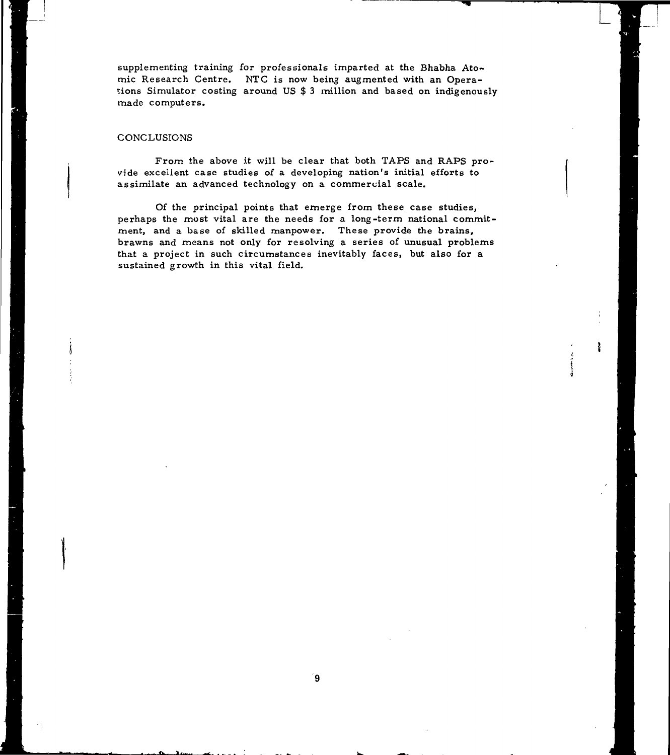supplementing training for professionals imparted at the Bhabha Atomic Research Centre. NTC is now being augmented with an Operations Simulator costing around US \$ 3 million and based on indigenously made computers.

## **CONCLUSIONS**

From the above it will be clear that both TAPS and RAPS provide excellent case studies of a developing nation's initial efforts to assimilate an advanced technology on a commercial scale.

Of the principal points that emerge from these case studies, perhaps the most vital are the needs for a long-term national commitment, and a base of skilled manpower. These provide the brains, brawns and means not only for resolving a series of unusual problems that a project in such circumstances inevitably faces, but also for a sustained growth in this vital field.

9

ł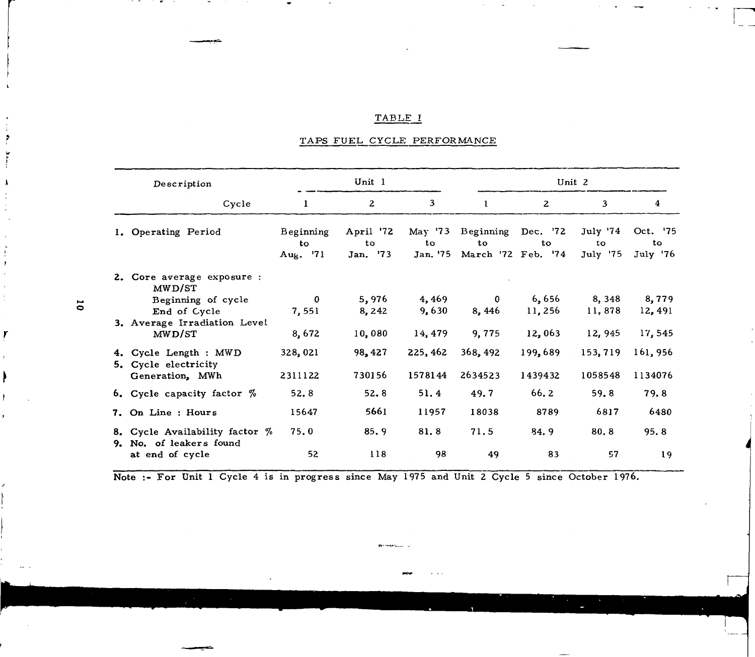## TABLE I

## TAPS FUEL, CYCLE PERFORMANCE

| Description |                                                             | Unit 1                      |                             |                | Unit 2                   |                                      |                            |                            |
|-------------|-------------------------------------------------------------|-----------------------------|-----------------------------|----------------|--------------------------|--------------------------------------|----------------------------|----------------------------|
|             | Cycle                                                       | 1                           | $\mathbf{2}$                | 3              | T.                       | $\overline{2}$                       | 3                          | 4                          |
|             | 1. Operating Period                                         | Beginning<br>to<br>Aug. '71 | April '72<br>to<br>Jan. '73 | to<br>Jan. '75 | May '73 Beginning<br>to. | Dec. '72<br>to<br>March '72 Feb. '74 | July '74<br>to<br>July '75 | Oct. '75<br>to<br>July '76 |
|             | 2. Core average exposure :<br>MWD/ST                        |                             |                             |                |                          |                                      |                            |                            |
|             | Beginning of cycle                                          | $\mathbf{0}$                | 5,976                       | 4,469          | $\bf{0}$                 | 6,656                                | 8,348                      | 8,779                      |
|             | End of Cycle                                                | 7,551                       | 8,242                       | 9,630          | 8,446                    | 11,256                               | 11,878                     | 12,491                     |
|             | 3. Average Irradiation Level<br>MWD/ST                      | 8,672                       | 10,080                      | 14, 479        | 9,775                    | 12,063                               | 12,945                     | 17,545                     |
|             |                                                             |                             |                             |                |                          |                                      |                            |                            |
|             | 4. Cycle Length : MWD<br>5. Cycle electricity               | 328,021                     | 98, 427                     | 225, 462       | 368, 492                 | 199,689                              | 153,719                    | 161,956                    |
|             | Generation, MWh                                             | 2311122                     | 730156                      | 1578144        | 2634523                  | 1439432                              | 1058548                    | 1134076                    |
|             | 6. Cycle capacity factor $\%$                               | 52.8                        | 52.8                        | 51.4           | 49.7                     | 66.2                                 | 59.8                       | 79.8                       |
|             | 7. On Line : Hours                                          | 15647                       | 5661                        | 11957          | 18038                    | 8789                                 | 6817                       | 6480                       |
|             | 8. Cycle Availability factor $%$<br>9. No. of leakers found | 75.0                        | 85.9                        | 81.8           | 71.5                     | 84.9                                 | 80.8                       | 95.8                       |
|             | at end of cycle                                             | 52                          | 118                         | 98             | 49                       | 83                                   | 57                         | 19                         |

**Note** :- **For** Unit 1 Cycle 4 is in progress since May 1975 and Unit 2 Cycle 5 since October 1976.

 $\overline{\mathbf{0}}$ 

 $\ddot{\phantom{0}}$ 

r